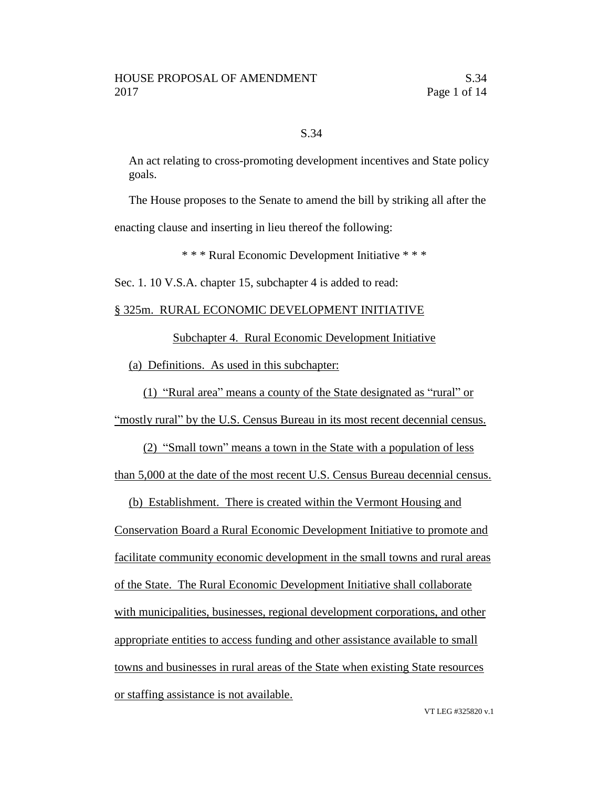## S.34

An act relating to cross-promoting development incentives and State policy goals.

The House proposes to the Senate to amend the bill by striking all after the enacting clause and inserting in lieu thereof the following:

\* \* \* Rural Economic Development Initiative \* \* \*

Sec. 1. 10 V.S.A. chapter 15, subchapter 4 is added to read:

## § 325m. RURAL ECONOMIC DEVELOPMENT INITIATIVE

Subchapter 4. Rural Economic Development Initiative

(a) Definitions. As used in this subchapter:

(1) "Rural area" means a county of the State designated as "rural" or

"mostly rural" by the U.S. Census Bureau in its most recent decennial census.

(2) "Small town" means a town in the State with a population of less than 5,000 at the date of the most recent U.S. Census Bureau decennial census.

(b) Establishment. There is created within the Vermont Housing and Conservation Board a Rural Economic Development Initiative to promote and facilitate community economic development in the small towns and rural areas of the State. The Rural Economic Development Initiative shall collaborate with municipalities, businesses, regional development corporations, and other appropriate entities to access funding and other assistance available to small towns and businesses in rural areas of the State when existing State resources or staffing assistance is not available.

VT LEG #325820 v.1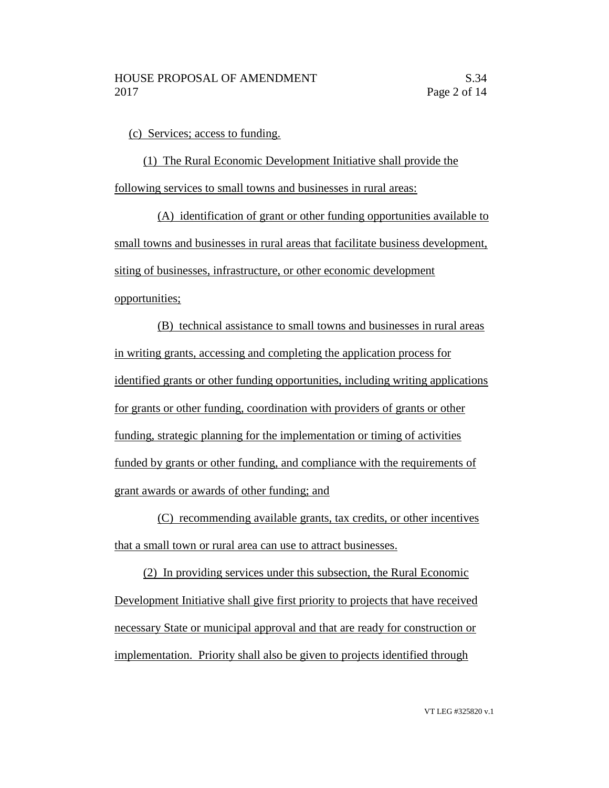(c) Services; access to funding.

(1) The Rural Economic Development Initiative shall provide the following services to small towns and businesses in rural areas:

(A) identification of grant or other funding opportunities available to small towns and businesses in rural areas that facilitate business development, siting of businesses, infrastructure, or other economic development opportunities;

(B) technical assistance to small towns and businesses in rural areas in writing grants, accessing and completing the application process for identified grants or other funding opportunities, including writing applications for grants or other funding, coordination with providers of grants or other funding, strategic planning for the implementation or timing of activities funded by grants or other funding, and compliance with the requirements of grant awards or awards of other funding; and

(C) recommending available grants, tax credits, or other incentives that a small town or rural area can use to attract businesses.

(2) In providing services under this subsection, the Rural Economic Development Initiative shall give first priority to projects that have received necessary State or municipal approval and that are ready for construction or implementation. Priority shall also be given to projects identified through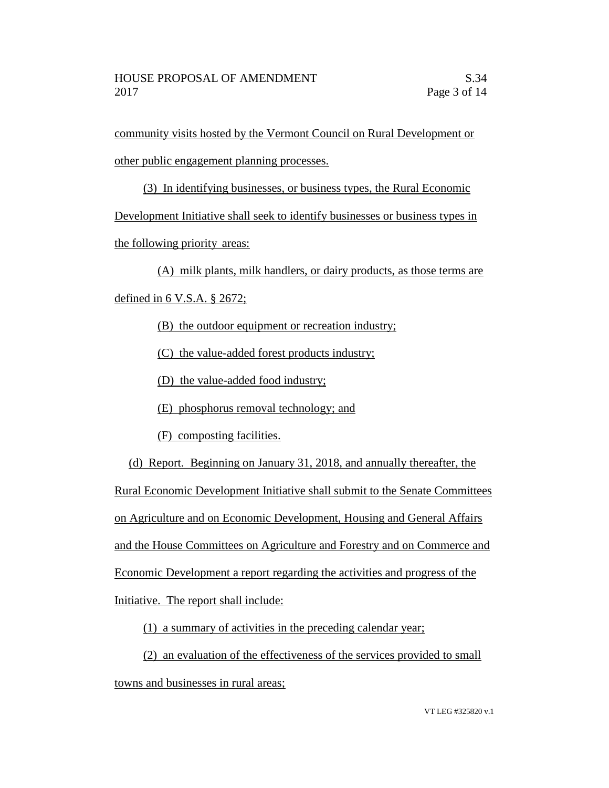community visits hosted by the Vermont Council on Rural Development or other public engagement planning processes.

(3) In identifying businesses, or business types, the Rural Economic Development Initiative shall seek to identify businesses or business types in

the following priority areas:

(A) milk plants, milk handlers, or dairy products, as those terms are

defined in 6 V.S.A. § 2672;

(B) the outdoor equipment or recreation industry;

(C) the value-added forest products industry;

(D) the value-added food industry;

(E) phosphorus removal technology; and

(F) composting facilities.

(d) Report. Beginning on January 31, 2018, and annually thereafter, the

Rural Economic Development Initiative shall submit to the Senate Committees on Agriculture and on Economic Development, Housing and General Affairs and the House Committees on Agriculture and Forestry and on Commerce and Economic Development a report regarding the activities and progress of the Initiative. The report shall include:

(1) a summary of activities in the preceding calendar year;

(2) an evaluation of the effectiveness of the services provided to small towns and businesses in rural areas;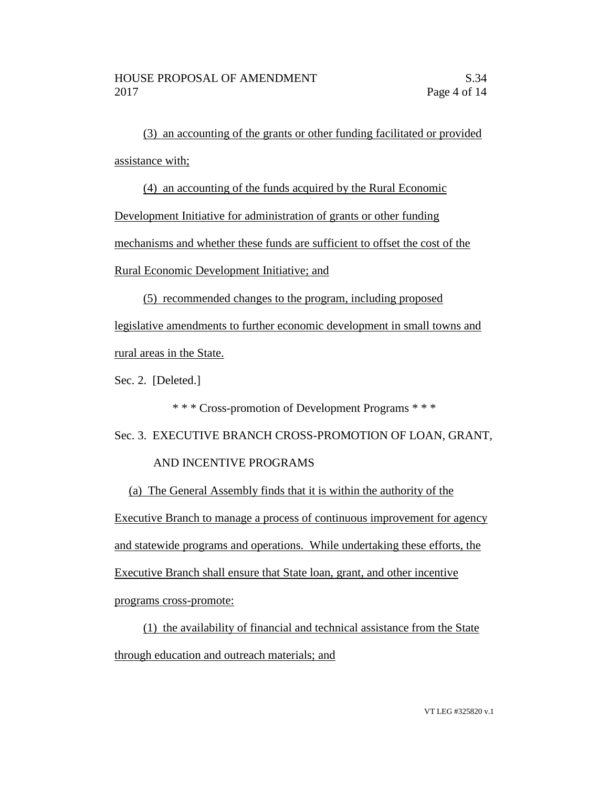(3) an accounting of the grants or other funding facilitated or provided assistance with;

(4) an accounting of the funds acquired by the Rural Economic

Development Initiative for administration of grants or other funding

mechanisms and whether these funds are sufficient to offset the cost of the

Rural Economic Development Initiative; and

(5) recommended changes to the program, including proposed legislative amendments to further economic development in small towns and rural areas in the State.

Sec. 2. [Deleted.]

\* \* \* Cross-promotion of Development Programs \* \* \*

Sec. 3. EXECUTIVE BRANCH CROSS-PROMOTION OF LOAN, GRANT, AND INCENTIVE PROGRAMS

(a) The General Assembly finds that it is within the authority of the Executive Branch to manage a process of continuous improvement for agency and statewide programs and operations. While undertaking these efforts, the Executive Branch shall ensure that State loan, grant, and other incentive programs cross-promote:

(1) the availability of financial and technical assistance from the State through education and outreach materials; and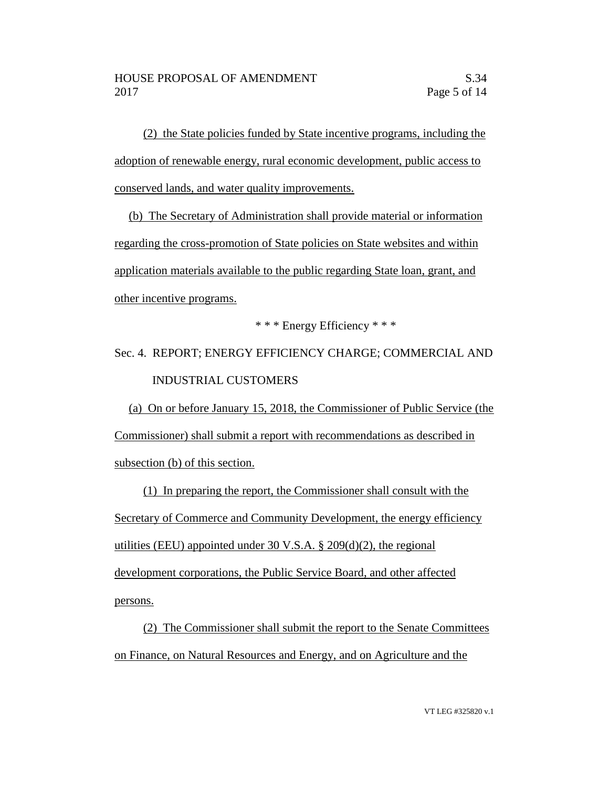(2) the State policies funded by State incentive programs, including the adoption of renewable energy, rural economic development, public access to conserved lands, and water quality improvements.

(b) The Secretary of Administration shall provide material or information regarding the cross-promotion of State policies on State websites and within application materials available to the public regarding State loan, grant, and other incentive programs.

\* \* \* Energy Efficiency \* \* \*

Sec. 4. REPORT; ENERGY EFFICIENCY CHARGE; COMMERCIAL AND INDUSTRIAL CUSTOMERS

(a) On or before January 15, 2018, the Commissioner of Public Service (the Commissioner) shall submit a report with recommendations as described in subsection (b) of this section.

(1) In preparing the report, the Commissioner shall consult with the Secretary of Commerce and Community Development, the energy efficiency utilities (EEU) appointed under 30 V.S.A. § 209(d)(2), the regional development corporations, the Public Service Board, and other affected persons.

(2) The Commissioner shall submit the report to the Senate Committees on Finance, on Natural Resources and Energy, and on Agriculture and the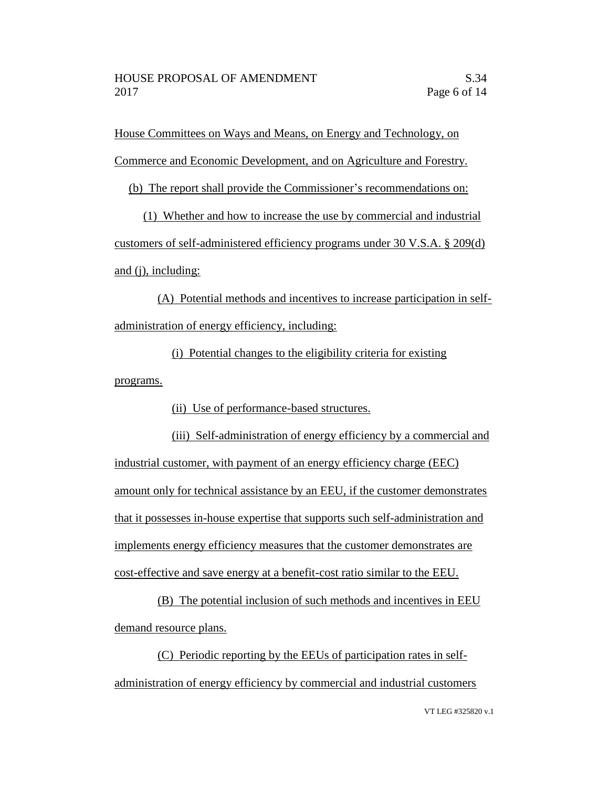House Committees on Ways and Means, on Energy and Technology, on

Commerce and Economic Development, and on Agriculture and Forestry.

(b) The report shall provide the Commissioner's recommendations on:

(1) Whether and how to increase the use by commercial and industrial customers of self-administered efficiency programs under 30 V.S.A. § 209(d) and (j), including:

(A) Potential methods and incentives to increase participation in selfadministration of energy efficiency, including:

(i) Potential changes to the eligibility criteria for existing programs.

(ii) Use of performance-based structures.

(iii) Self-administration of energy efficiency by a commercial and industrial customer, with payment of an energy efficiency charge (EEC) amount only for technical assistance by an EEU, if the customer demonstrates that it possesses in-house expertise that supports such self-administration and implements energy efficiency measures that the customer demonstrates are cost-effective and save energy at a benefit-cost ratio similar to the EEU.

(B) The potential inclusion of such methods and incentives in EEU demand resource plans.

(C) Periodic reporting by the EEUs of participation rates in selfadministration of energy efficiency by commercial and industrial customers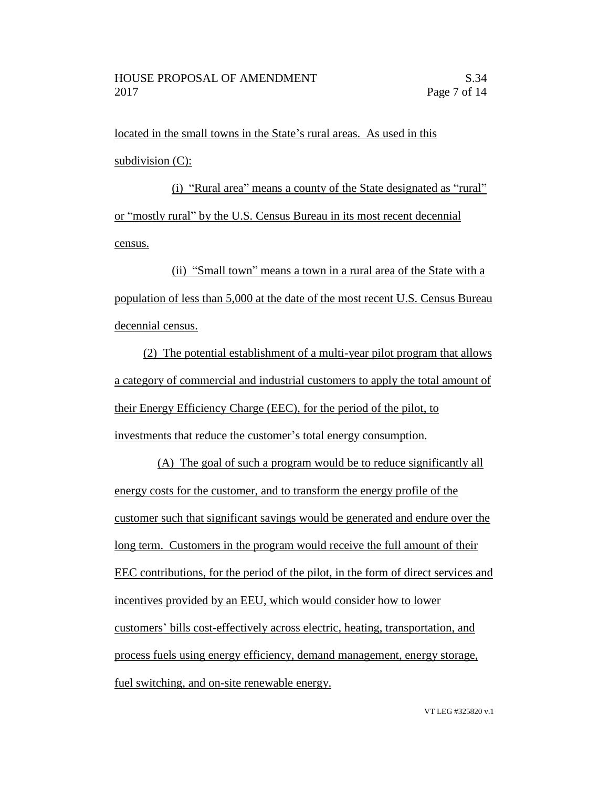located in the small towns in the State's rural areas. As used in this subdivision (C):

(i) "Rural area" means a county of the State designated as "rural" or "mostly rural" by the U.S. Census Bureau in its most recent decennial census.

(ii) "Small town" means a town in a rural area of the State with a population of less than 5,000 at the date of the most recent U.S. Census Bureau decennial census.

(2) The potential establishment of a multi-year pilot program that allows a category of commercial and industrial customers to apply the total amount of their Energy Efficiency Charge (EEC), for the period of the pilot, to investments that reduce the customer's total energy consumption.

(A) The goal of such a program would be to reduce significantly all energy costs for the customer, and to transform the energy profile of the customer such that significant savings would be generated and endure over the long term. Customers in the program would receive the full amount of their EEC contributions, for the period of the pilot, in the form of direct services and incentives provided by an EEU, which would consider how to lower customers' bills cost-effectively across electric, heating, transportation, and process fuels using energy efficiency, demand management, energy storage, fuel switching, and on-site renewable energy.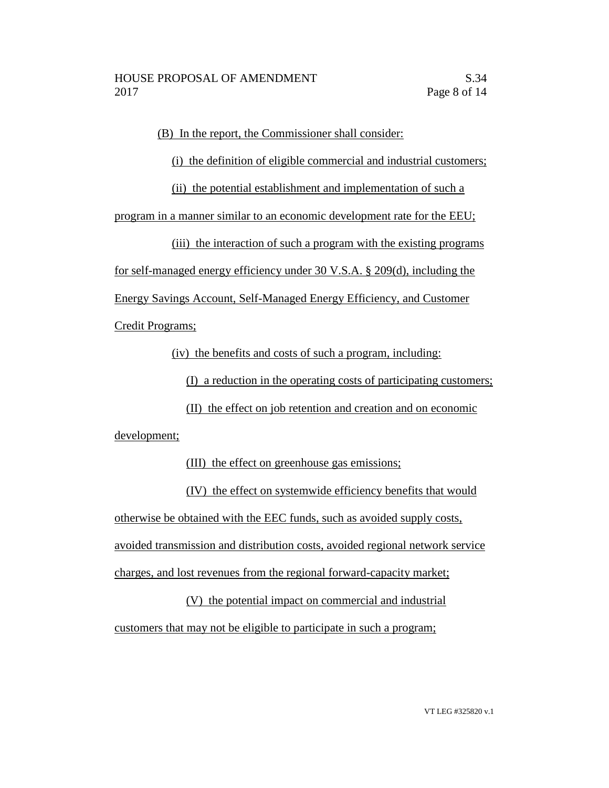(B) In the report, the Commissioner shall consider:

(i) the definition of eligible commercial and industrial customers;

(ii) the potential establishment and implementation of such a

program in a manner similar to an economic development rate for the EEU;

(iii) the interaction of such a program with the existing programs

for self-managed energy efficiency under 30 V.S.A. § 209(d), including the

Energy Savings Account, Self-Managed Energy Efficiency, and Customer

Credit Programs;

(iv) the benefits and costs of such a program, including:

(I) a reduction in the operating costs of participating customers;

(II) the effect on job retention and creation and on economic

development;

(III) the effect on greenhouse gas emissions;

(IV) the effect on systemwide efficiency benefits that would otherwise be obtained with the EEC funds, such as avoided supply costs, avoided transmission and distribution costs, avoided regional network service charges, and lost revenues from the regional forward-capacity market;

(V) the potential impact on commercial and industrial customers that may not be eligible to participate in such a program;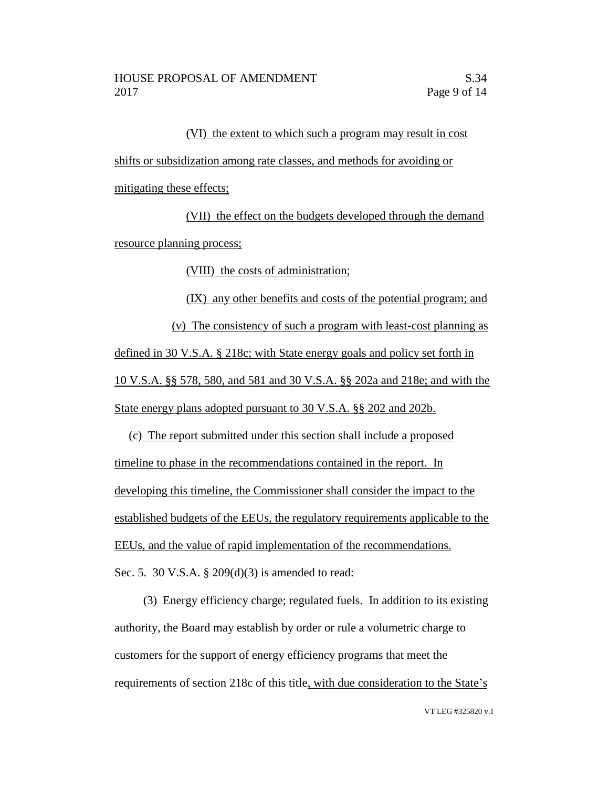(VI) the extent to which such a program may result in cost shifts or subsidization among rate classes, and methods for avoiding or mitigating these effects;

(VII) the effect on the budgets developed through the demand resource planning process;

(VIII) the costs of administration;

(IX) any other benefits and costs of the potential program; and (v) The consistency of such a program with least-cost planning as defined in 30 V.S.A. § 218c; with State energy goals and policy set forth in 10 V.S.A. §§ 578, 580, and 581 and 30 V.S.A. §§ 202a and 218e; and with the State energy plans adopted pursuant to 30 V.S.A. §§ 202 and 202b.

(c) The report submitted under this section shall include a proposed timeline to phase in the recommendations contained in the report. In developing this timeline, the Commissioner shall consider the impact to the established budgets of the EEUs, the regulatory requirements applicable to the EEUs, and the value of rapid implementation of the recommendations. Sec. 5. 30 V.S.A. § 209(d)(3) is amended to read:

(3) Energy efficiency charge; regulated fuels. In addition to its existing authority, the Board may establish by order or rule a volumetric charge to customers for the support of energy efficiency programs that meet the requirements of section 218c of this title, with due consideration to the State's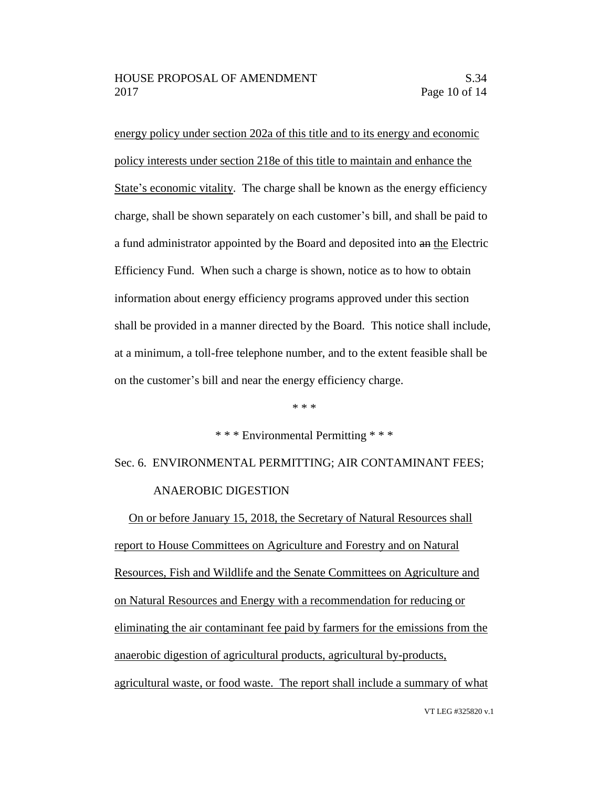energy policy under section 202a of this title and to its energy and economic policy interests under section 218e of this title to maintain and enhance the State's economic vitality. The charge shall be known as the energy efficiency charge, shall be shown separately on each customer's bill, and shall be paid to a fund administrator appointed by the Board and deposited into an the Electric Efficiency Fund. When such a charge is shown, notice as to how to obtain information about energy efficiency programs approved under this section shall be provided in a manner directed by the Board. This notice shall include, at a minimum, a toll-free telephone number, and to the extent feasible shall be on the customer's bill and near the energy efficiency charge.

\* \* \*

\* \* \* Environmental Permitting \* \* \*

Sec. 6. ENVIRONMENTAL PERMITTING; AIR CONTAMINANT FEES; ANAEROBIC DIGESTION

On or before January 15, 2018, the Secretary of Natural Resources shall report to House Committees on Agriculture and Forestry and on Natural Resources, Fish and Wildlife and the Senate Committees on Agriculture and on Natural Resources and Energy with a recommendation for reducing or eliminating the air contaminant fee paid by farmers for the emissions from the anaerobic digestion of agricultural products, agricultural by-products, agricultural waste, or food waste. The report shall include a summary of what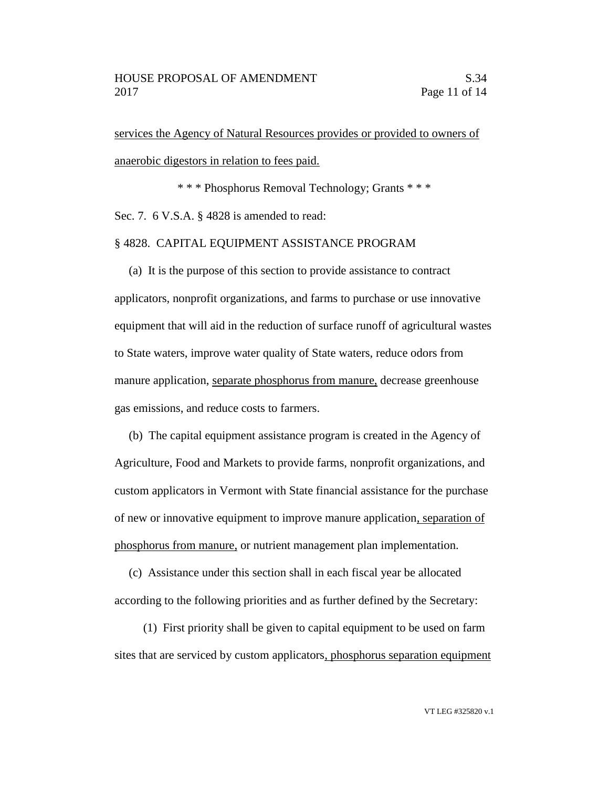services the Agency of Natural Resources provides or provided to owners of anaerobic digestors in relation to fees paid.

\* \* \* Phosphorus Removal Technology; Grants \* \* \* Sec. 7. 6 V.S.A. § 4828 is amended to read:

#### § 4828. CAPITAL EQUIPMENT ASSISTANCE PROGRAM

(a) It is the purpose of this section to provide assistance to contract applicators, nonprofit organizations, and farms to purchase or use innovative equipment that will aid in the reduction of surface runoff of agricultural wastes to State waters, improve water quality of State waters, reduce odors from manure application, separate phosphorus from manure, decrease greenhouse gas emissions, and reduce costs to farmers.

(b) The capital equipment assistance program is created in the Agency of Agriculture, Food and Markets to provide farms, nonprofit organizations, and custom applicators in Vermont with State financial assistance for the purchase of new or innovative equipment to improve manure application, separation of phosphorus from manure, or nutrient management plan implementation.

(c) Assistance under this section shall in each fiscal year be allocated according to the following priorities and as further defined by the Secretary:

(1) First priority shall be given to capital equipment to be used on farm sites that are serviced by custom applicators, phosphorus separation equipment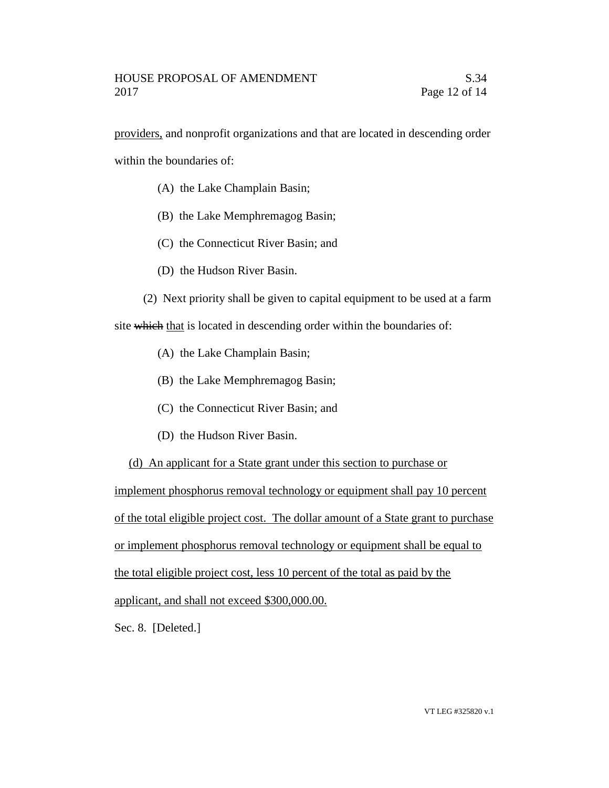providers, and nonprofit organizations and that are located in descending order within the boundaries of:

- (A) the Lake Champlain Basin;
- (B) the Lake Memphremagog Basin;
- (C) the Connecticut River Basin; and
- (D) the Hudson River Basin.
- (2) Next priority shall be given to capital equipment to be used at a farm

site which that is located in descending order within the boundaries of:

- (A) the Lake Champlain Basin;
- (B) the Lake Memphremagog Basin;
- (C) the Connecticut River Basin; and
- (D) the Hudson River Basin.
- (d) An applicant for a State grant under this section to purchase or

implement phosphorus removal technology or equipment shall pay 10 percent of the total eligible project cost. The dollar amount of a State grant to purchase or implement phosphorus removal technology or equipment shall be equal to the total eligible project cost, less 10 percent of the total as paid by the applicant, and shall not exceed \$300,000.00.

Sec. 8. [Deleted.]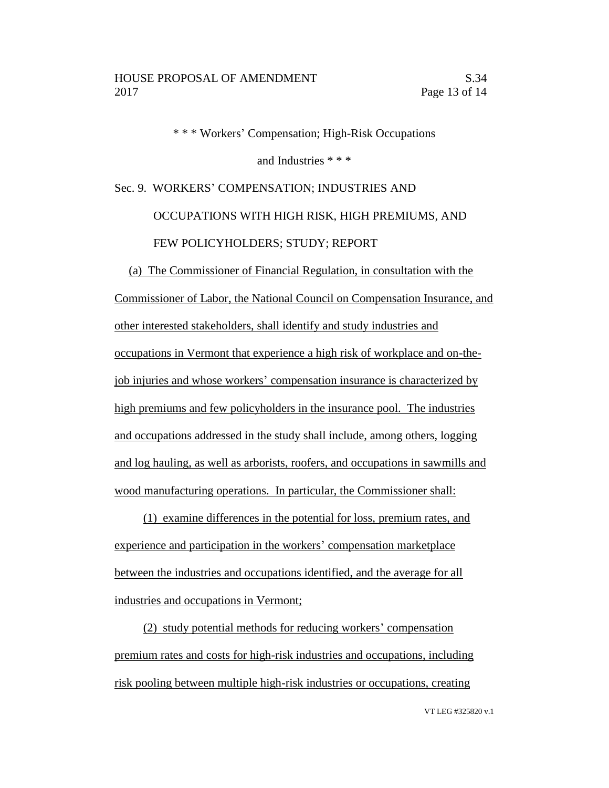\* \* \* Workers' Compensation; High-Risk Occupations

and Industries \* \* \*

# Sec. 9. WORKERS' COMPENSATION; INDUSTRIES AND OCCUPATIONS WITH HIGH RISK, HIGH PREMIUMS, AND FEW POLICYHOLDERS; STUDY; REPORT

(a) The Commissioner of Financial Regulation, in consultation with the Commissioner of Labor, the National Council on Compensation Insurance, and other interested stakeholders, shall identify and study industries and occupations in Vermont that experience a high risk of workplace and on-thejob injuries and whose workers' compensation insurance is characterized by high premiums and few policyholders in the insurance pool. The industries and occupations addressed in the study shall include, among others, logging and log hauling, as well as arborists, roofers, and occupations in sawmills and wood manufacturing operations. In particular, the Commissioner shall:

(1) examine differences in the potential for loss, premium rates, and experience and participation in the workers' compensation marketplace between the industries and occupations identified, and the average for all industries and occupations in Vermont;

(2) study potential methods for reducing workers' compensation premium rates and costs for high-risk industries and occupations, including risk pooling between multiple high-risk industries or occupations, creating